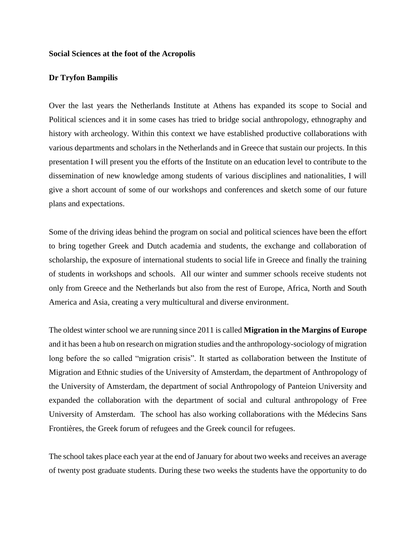## **Social Sciences at the foot of the Acropolis**

## **Dr Tryfon Bampilis**

Over the last years the Netherlands Institute at Athens has expanded its scope to Social and Political sciences and it in some cases has tried to bridge social anthropology, ethnography and history with archeology. Within this context we have established productive collaborations with various departments and scholars in the Netherlands and in Greece that sustain our projects. In this presentation I will present you the efforts of the Institute on an education level to contribute to the dissemination of new knowledge among students of various disciplines and nationalities, I will give a short account of some of our workshops and conferences and sketch some of our future plans and expectations.

Some of the driving ideas behind the program on social and political sciences have been the effort to bring together Greek and Dutch academia and students, the exchange and collaboration of scholarship, the exposure of international students to social life in Greece and finally the training of students in workshops and schools. All our winter and summer schools receive students not only from Greece and the Netherlands but also from the rest of Europe, Africa, North and South America and Asia, creating a very multicultural and diverse environment.

The oldest winter school we are running since 2011 is called **Migration in the Margins of Europe** and it has been a hub on research on migration studies and the anthropology-sociology of migration long before the so called "migration crisis". It started as collaboration between the Institute of Migration and Ethnic studies of the University of Amsterdam, the department of Anthropology of the University of Amsterdam, the department of social Anthropology of Panteion University and expanded the collaboration with the department of social and cultural anthropology of Free University of Amsterdam. The school has also working collaborations with the Médecins Sans Frontières, the Greek forum of refugees and the Greek council for refugees.

The school takes place each year at the end of January for about two weeks and receives an average of twenty post graduate students. During these two weeks the students have the opportunity to do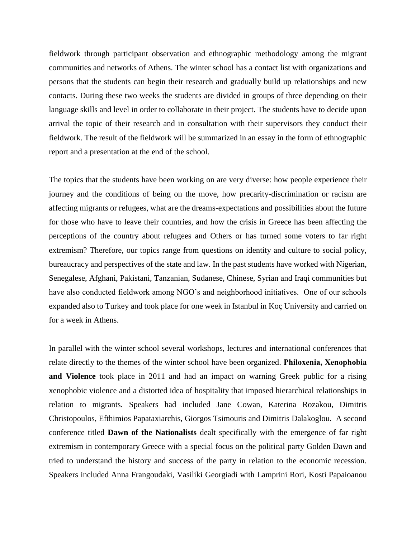fieldwork through participant observation and ethnographic methodology among the migrant communities and networks of Athens. The winter school has a contact list with organizations and persons that the students can begin their research and gradually build up relationships and new contacts. During these two weeks the students are divided in groups of three depending on their language skills and level in order to collaborate in their project. The students have to decide upon arrival the topic of their research and in consultation with their supervisors they conduct their fieldwork. The result of the fieldwork will be summarized in an essay in the form of ethnographic report and a presentation at the end of the school.

The topics that the students have been working on are very diverse: how people experience their journey and the conditions of being on the move, how precarity-discrimination or racism are affecting migrants or refugees, what are the dreams-expectations and possibilities about the future for those who have to leave their countries, and how the crisis in Greece has been affecting the perceptions of the country about refugees and Others or has turned some voters to far right extremism? Therefore, our topics range from questions on identity and culture to social policy, bureaucracy and perspectives of the state and law. In the past students have worked with Nigerian, Senegalese, Afghani, Pakistani, Tanzanian, Sudanese, Chinese, Syrian and Iraqi communities but have also conducted fieldwork among NGO's and neighborhood initiatives. One of our schools expanded also to Turkey and took place for one week in Istanbul in Koç University and carried on for a week in Athens.

In parallel with the winter school several workshops, lectures and international conferences that relate directly to the themes of the winter school have been organized. **Philοxenia, Xenophobia and Violence** took place in 2011 and had an impact on warning Greek public for a rising xenophobic violence and a distorted idea of hospitality that imposed hierarchical relationships in relation to migrants. Speakers had included Jane Cowan, Katerina Rozakou, Dimitris Christopoulos, Efthimios Papataxiarchis, Giorgos Tsimouris and Dimitris Dalakoglou. A second conference titled **Dawn of the Nationalists** dealt specifically with the emergence of far right extremism in contemporary Greece with a special focus on the political party Golden Dawn and tried to understand the history and success of the party in relation to the economic recession. Speakers included Anna Frangoudaki, Vasiliki Georgiadi with Lamprini Rori, Kosti Papaioanou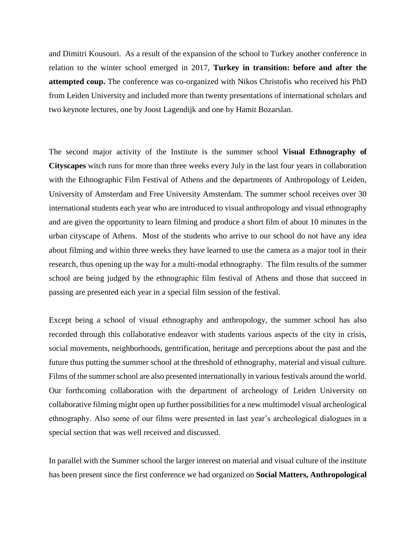and Dimitri Kousouri. As a result of the expansion of the school to Turkey another conference in relation to the winter school emerged in 2017, **Turkey in transition: before and after the attempted coup.** The conference was co-organized with Nikos Christofis who received his PhD from Leiden University and included more than twenty presentations of international scholars and two keynote lectures, one by Joost Lagendijk and one by Hamit Bozarslan.

The second major activity of the Institute is the summer school **Visual Ethnography of Cityscapes** witch runs for more than three weeks every July in the last four years in collaboration with the Ethnographic Film Festival of Athens and the departments of Anthropology of Leiden, University of Amsterdam and Free University Amsterdam. The summer school receives over 30 international students each year who are introduced to visual anthropology and visual ethnography and are given the opportunity to learn filming and produce a short film of about 10 minutes in the urban cityscape of Athens. Most of the students who arrive to our school do not have any idea about filming and within three weeks they have learned to use the camera as a major tool in their research, thus opening up the way for a multi-modal ethnography. The film results of the summer school are being judged by the ethnographic film festival of Athens and those that succeed in passing are presented each year in a special film session of the festival.

Except being a school of visual ethnography and anthropology, the summer school has also recorded through this collaborative endeavor with students various aspects of the city in crisis, social movements, neighborhoods, gentrification, heritage and perceptions about the past and the future thus putting the summer school at the threshold of ethnography, material and visual culture. Films of the summer school are also presented internationally in various festivals around the world. Our forthcoming collaboration with the department of archeology of Leiden University on collaborative filming might open up further possibilities for a new multimodel visual archeological ethnography. Also some of our films were presented in last year's archeological dialogues in a special section that was well received and discussed.

In parallel with the Summer school the larger interest on material and visual culture of the institute has been present since the first conference we had organized on **Social Matters, Anthropological**